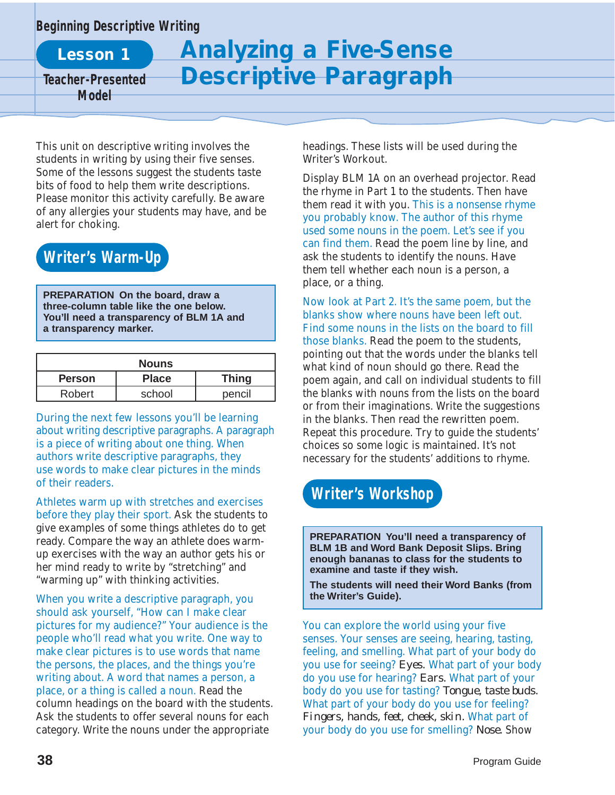#### **Beginning Descriptive Writing**

**Lesson 1**

**Teacher-Presented Model**

# **Analyzing a Five-Sense Descriptive Paragraph**

This unit on descriptive writing involves the students in writing by using their five senses. Some of the lessons suggest the students taste bits of food to help them write descriptions. Please monitor this activity carefully. Be aware of any allergies your students may have, and be alert for choking.

#### **Writer's Warm-Up**

**PREPARATION On the board, draw a three-column table like the one below. You'll need a transparency of BLM 1A and a transparency marker.**

| <b>Nouns</b>  |              |              |
|---------------|--------------|--------------|
| <b>Person</b> | <b>Place</b> | <b>Thing</b> |
| <b>Robert</b> | school       | pencil       |

During the next few lessons you'll be learning about writing descriptive paragraphs. A paragraph is a piece of writing about one thing. When authors write descriptive paragraphs, they use words to make clear pictures in the minds of their readers.

Athletes warm up with stretches and exercises before they play their sport. Ask the students to give examples of some things athletes do to get ready. Compare the way an athlete does warmup exercises with the way an author gets his or her mind ready to write by "stretching" and "warming up" with thinking activities.

When you write a descriptive paragraph, you should ask yourself, "How can I make clear pictures for my audience?" Your audience is the people who'll read what you write. One way to make clear pictures is to use words that name the persons, the places, and the things you're writing about. A word that names a person, a place, or a thing is called a noun. Read the column headings on the board with the students. Ask the students to offer several nouns for each category. Write the nouns under the appropriate

headings. These lists will be used during the Writer's Workout.

Display BLM 1A on an overhead projector. Read the rhyme in Part 1 to the students. Then have them read it with you. This is a nonsense rhyme you probably know. The author of this rhyme used some nouns in the poem. Let's see if you can find them. Read the poem line by line, and ask the students to identify the nouns. Have them tell whether each noun is a person, a place, or a thing.

Now look at Part 2. It's the same poem, but the blanks show where nouns have been left out. Find some nouns in the lists on the board to fill those blanks. Read the poem to the students, pointing out that the words under the blanks tell what kind of noun should go there. Read the poem again, and call on individual students to fill the blanks with nouns from the lists on the board or from their imaginations. Write the suggestions in the blanks. Then read the rewritten poem. Repeat this procedure. Try to guide the students' choices so some logic is maintained. It's not necessary for the students' additions to rhyme.

### **Writer's Workshop**

**PREPARATION You'll need a transparency of BLM 1B and Word Bank Deposit Slips. Bring enough bananas to class for the students to examine and taste if they wish.**

**The students will need their Word Banks (from the Writer's Guide).**

You can explore the world using your five senses. Your senses are seeing, hearing, tasting, feeling, and smelling. What part of your body do you use for seeing? *Eyes.* What part of your body do you use for hearing? *Ears.* What part of your body do you use for tasting? *Tongue, taste buds.* What part of your body do you use for feeling? *Fingers, hands, feet, cheek, skin.* What part of your body do you use for smelling? *Nose.* Show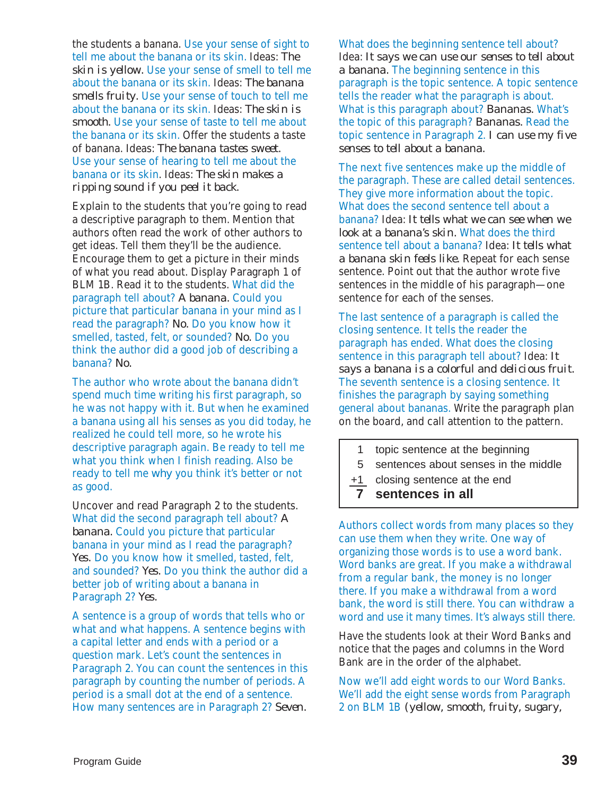the students a banana. Use your sense of sight to tell me about the banana or its skin. Ideas: *The skin is yellow.* Use your sense of smell to tell me about the banana or its skin. Ideas: *The banana smells fruity.* Use your sense of touch to tell me about the banana or its skin. Ideas: *The skin is smooth.* Use your sense of taste to tell me about the banana or its skin. Offer the students a taste of banana. Ideas: *The banana tastes sweet.* Use your sense of hearing to tell me about the banana or its skin. Ideas: *The skin makes a ripping sound if you peel it back.*

Explain to the students that you're going to read a descriptive paragraph to them. Mention that authors often read the work of other authors to get ideas. Tell them they'll be the audience. Encourage them to get a picture in their minds of what you read about. Display Paragraph 1 of BLM 1B. Read it to the students. What did the paragraph tell about? *A banana.* Could you picture that particular banana in your mind as I read the paragraph? *No.* Do you know how it smelled, tasted, felt, or sounded? *No.* Do you think the author did a good job of describing a banana? *No.*

The author who wrote about the banana didn't spend much time writing his first paragraph, so he was not happy with it. But when he examined a banana using all his senses as you did today, he realized he could tell more, so he wrote his descriptive paragraph again. Be ready to tell me what you think when I finish reading. Also be ready to tell me *why* you think it's better or not as good.

Uncover and read Paragraph 2 to the students. What did the second paragraph tell about? *A banana.* Could you picture that particular banana in your mind as I read the paragraph? *Yes.* Do you know how it smelled, tasted, felt, and sounded? *Yes.* Do you think the author did a better job of writing about a banana in Paragraph 2? *Yes.* 

A sentence is a group of words that tells who or what and what happens. A sentence begins with a capital letter and ends with a period or a question mark. Let's count the sentences in Paragraph 2. You can count the sentences in this paragraph by counting the number of periods. A period is a small dot at the end of a sentence. How many sentences are in Paragraph 2? *Seven.*

What does the beginning sentence tell about? Idea: *It says we can use our senses to tell about a banana.* The beginning sentence in this paragraph is the topic sentence. A topic sentence tells the reader what the paragraph is about. What is this paragraph about? *Bananas.* What's the topic of this paragraph? *Bananas.* Read the topic sentence in Paragraph 2. *I can use my five senses to tell about a banana.*

The next five sentences make up the middle of the paragraph. These are called detail sentences. They give more information about the topic. What does the second sentence tell about a banana? Idea: *It tells what we can see when we look at a banana's skin.* What does the third sentence tell about a banana? Idea: *It tells what a banana skin feels like.* Repeat for each sense sentence. Point out that the author wrote five sentences in the middle of his paragraph—one sentence for each of the senses.

The last sentence of a paragraph is called the closing sentence. It tells the reader the paragraph has ended. What does the closing sentence in this paragraph tell about? Idea: *It says a banana is a colorful and delicious fruit.* The seventh sentence is a closing sentence. It finishes the paragraph by saying something general about bananas. Write the paragraph plan on the board, and call attention to the pattern.

- 1 topic sentence at the beginning
- 5 sentences about senses in the middle
- +1 closing sentence at the end
- **7 sentences in all**

Authors collect words from many places so they can use them when they write. One way of organizing those words is to use a word bank. Word banks are great. If you make a withdrawal from a regular bank, the money is no longer there. If you make a withdrawal from a word bank, the word is still there. You can withdraw a word and use it many times. It's always still there.

Have the students look at their Word Banks and notice that the pages and columns in the Word Bank are in the order of the alphabet.

Now we'll add eight words to our Word Banks. We'll add the eight sense words from Paragraph 2 on BLM 1B *(yellow, smooth, fruity, sugary,*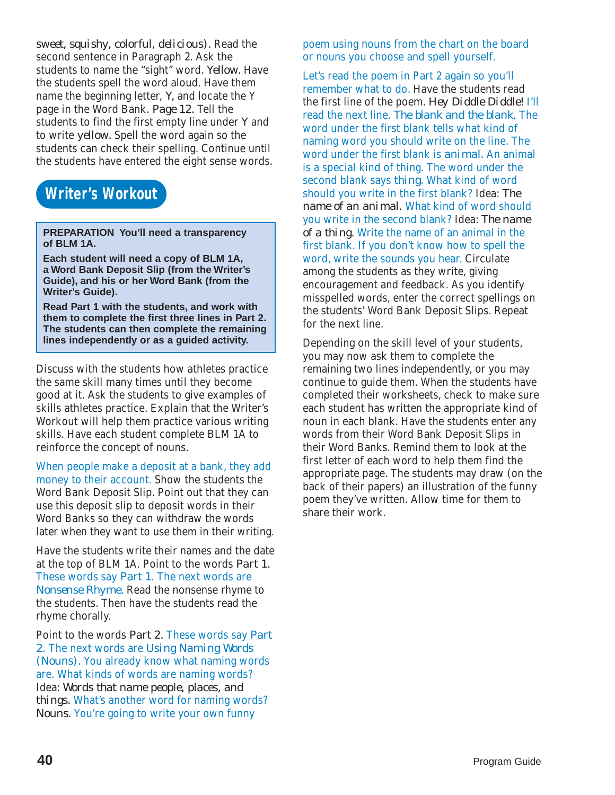*sweet, squishy, colorful, delicious).* Read the second sentence in Paragraph 2. Ask the students to name the "sight" word. *Yellow.* Have the students spell the word aloud. Have them name the beginning letter, *Y,* and locate the Y page in the Word Bank. *Page 12.* Tell the students to find the first empty line under *Y* and to write *yellow.* Spell the word again so the students can check their spelling. Continue until the students have entered the eight sense words.

#### **Writer's Workout**

**PREPARATION You'll need a transparency of BLM 1A.**

**Each student will need a copy of BLM 1A, a Word Bank Deposit Slip (from the Writer's Guide), and his or her Word Bank (from the Writer's Guide).**

**Read Part 1 with the students, and work with them to complete the first three lines in Part 2. The students can then complete the remaining lines independently or as a guided activity.**

Discuss with the students how athletes practice the same skill many times until they become good at it. Ask the students to give examples of skills athletes practice. Explain that the Writer's Workout will help them practice various writing skills. Have each student complete BLM 1A to reinforce the concept of nouns.

When people make a deposit at a bank, they add money to their account. Show the students the Word Bank Deposit Slip. Point out that they can use this deposit slip to deposit words in their Word Banks so they can withdraw the words later when they want to use them in their writing.

Have the students write their names and the date at the top of BLM 1A. Point to the words *Part 1.* These words say *Part 1.* The next words are *Nonsense Rhyme.* Read the nonsense rhyme to the students. Then have the students read the rhyme chorally.

Point to the words *Part 2.* These words say *Part 2.* The next words are *Using Naming Words (Nouns).* You already know what naming words are. What kinds of words are naming words? Idea: *Words that name people, places, and things.* What's another word for naming words? *Nouns.* You're going to write your own funny

poem using nouns from the chart on the board or nouns you choose and spell yourself.

Let's read the poem in Part 2 again so you'll remember what to do. Have the students read the first line of the poem. *Hey Diddle Diddle!* I'll read the next line. *The blank and the blank.* The word under the first blank tells what kind of naming word you should write on the line. The word under the first blank is *animal.* An animal is a special kind of thing. The word under the second blank says *thing.* What kind of word should you write in the first blank? Idea: *The name of an animal.* What kind of word should you write in the second blank? Idea: *The name of a thing.* Write the name of an animal in the first blank. If you don't know how to spell the word, write the sounds you hear. Circulate among the students as they write, giving encouragement and feedback. As you identify misspelled words, enter the correct spellings on the students' Word Bank Deposit Slips. Repeat for the next line.

Depending on the skill level of your students, you may now ask them to complete the remaining two lines independently, or you may continue to guide them. When the students have completed their worksheets, check to make sure each student has written the appropriate kind of noun in each blank. Have the students enter any words from their Word Bank Deposit Slips in their Word Banks. Remind them to look at the first letter of each word to help them find the appropriate page. The students may draw (on the back of their papers) an illustration of the funny poem they've written. Allow time for them to share their work.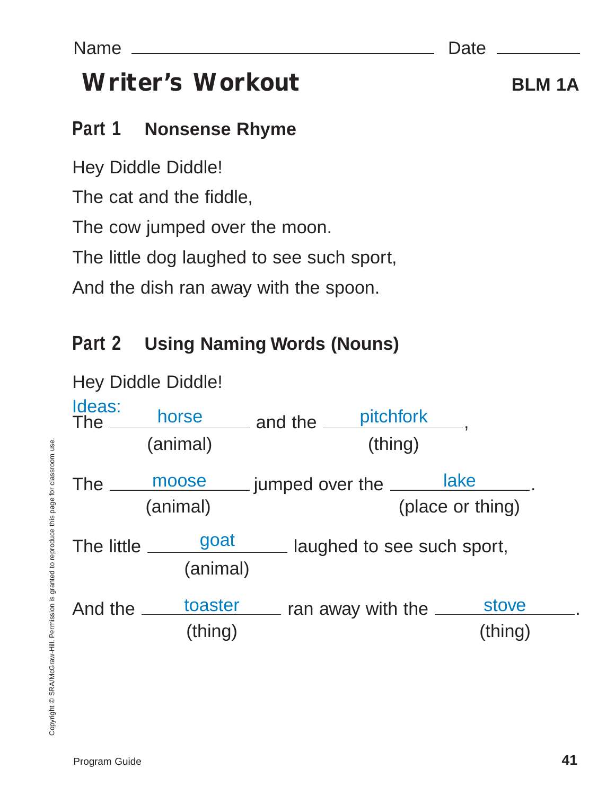# **Part 1 Nonsense Rhyme**

Hey Diddle Diddle!

The cat and the fiddle,

The cow jumped over the moon.

The little dog laughed to see such sport,

And the dish ran away with the spoon.

# **Part 2 Using Naming Words (Nouns)**